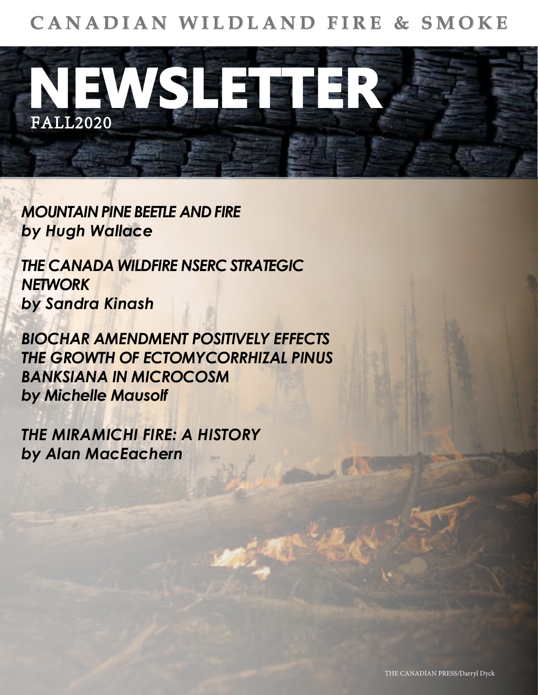## **CANADIAN WILDLAND FIRE & SMOKE**



*[MOUNTAIN PINE BEETLE AND FIRE](#page-1-0) by Hugh Wallace*

*[THE CANADA WILDFIRE NSERC STRATEGIC](#page-4-0)  NETWORK by Sandra Kinash*

*BIOCHAR AMENDMENT POSITIVELY EFFECTS [THE GROWTH OF ECTOMYCORRHIZAL PINUS](#page-7-0)  BANKSIANA IN MICROCOSM by Michelle Mausolf*

*[THE MIRAMICHI FIRE: A HISTORY](#page-9-0) by Alan MacEachern*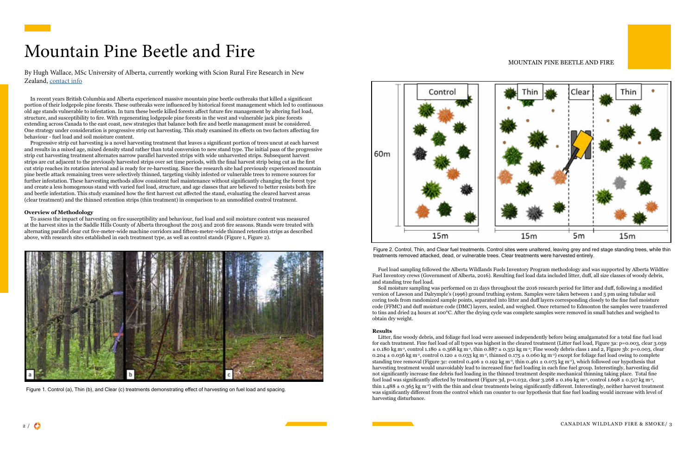## <span id="page-1-0"></span>Mountain Pine Beetle and Fire

#### MOUNTAIN PINE BEETLE AND FIRE

In recent years British Columbia and Alberta experienced massive mountain pine beetle outbreaks that killed a significant portion of their lodgepole pine forests. These outbreaks were influenced by historical forest management which led to continuous old age stands vulnerable to infestation. In turn these beetle killed forests affect future fire management by altering fuel load, structure, and susceptibility to fire. With regenerating lodgepole pine forests in the west and vulnerable jack pine forests extending across Canada to the east coast, new strategies that balance both fire and beetle management must be considered. One strategy under consideration is progressive strip cut harvesting. This study examined its effects on two factors affecting fire behaviour - fuel load and soil moisture content.

Progressive strip cut harvesting is a novel harvesting treatment that leaves a significant portion of trees uncut at each harvest and results in a mixed age, mixed density stand rather than total conversion to new stand type. The initial pass of the progressive strip cut harvesting treatment alternates narrow parallel harvested strips with wide unharvested strips. Subsequent harvest strips are cut adjacent to the previously harvested strips over set time periods, with the final harvest strip being cut as the first cut strip reaches its rotation interval and is ready for re-harvesting. Since the research site had previously experienced mountain pine beetle attack remaining trees were selectively thinned, targeting visibly infested or vulnerable trees to remove sources for further infestation. These harvesting methods allow consistent fuel maintenance without significantly changing the forest type and create a less homogenous stand with varied fuel load, structure, and age classes that are believed to better resists both fire and beetle infestation. This study examined how the first harvest cut affected the stand, evaluating the cleared harvest areas (clear treatment) and the thinned retention strips (thin treatment) in comparison to an unmodified control treatment.

#### **Overview of Methodology**

To assess the impact of harvesting on fire susceptibility and behaviour, fuel load and soil moisture content was measured at the harvest sites in the Saddle Hills County of Alberta throughout the 2015 and 2016 fire seasons. Stands were treated with alternating parallel clear cut five-meter-wide machine corridors and fifteen-meter-wide thinned retention strips as described above, with research sites established in each treatment type, as well as control stands (Figure 1, Figure 2).

By Hugh Wallace, MSc University of Alberta, currently working with Scion Rural Fire Research in New Zealand, [contact info](https://www.scionresearch.com/rural-fire-research/contact)

Figure 2. Control, Thin, and Clear fuel treatments. Control sites were unaltered, leaving grey and red stage standing trees, while thin



treatments removed attacked, dead, or vulnerable trees. Clear treatments were harvested entirely.



Figure 1. Control (a), Thin (b), and Clear (c) treatments demonstrating effect of harvesting on fuel load and spacing.

Fuel load sampling followed the Alberta Wildlands Fuels Inventory Program methodology and was supported by Alberta Wildfire Fuel Inventory crews (Government of Alberta, 2016). Resulting fuel load data included litter, duff, all size classes of woody debris, and standing tree fuel load.

Soil moisture sampling was performed on 21 days throughout the 2016 research period for litter and duff, following a modified version of Lawson and Dalrymple's (1996) ground truthing system. Samples were taken between 1 and 5 pm using tubular soil coring tools from randomized sample points, separated into litter and duff layers corresponding closely to the fine fuel moisture code (FFMC) and duff moisture code (DMC) layers, sealed, and weighed. Once returned to Edmonton the samples were transferred to tins and dried 24 hours at 100°C. After the drying cycle was complete samples were removed in small batches and weighed to obtain dry weight.

#### **Results**

Litter, fine woody debris, and foliage fuel load were assessed independently before being amalgamated for a total fine fuel load for each treatment. Fine fuel load of all types was highest in the cleared treatment (Litter fuel load, Figure 3a: p=0.003, clear 3.059  $\pm$  0.180 kg m<sup>-2</sup>, control 1.180  $\pm$  0.368 kg m<sup>-2</sup>, thin 0.887  $\pm$  0.351 kg m<sup>-2</sup>; Fine woody debris class 1 and 2, Figure 3b: p=0.003, clear 0.204  $\pm$  0.036 kg m<sup>-2</sup>, control 0.120  $\pm$  0.033 kg m<sup>-2</sup>, thinned 0.175  $\pm$  0.060 kg m<sup>-2</sup>) except for foliage fuel load owing to complete standing tree removal (Figure 3c: control 0.406  $\pm$  0.192 kg m<sup>-2</sup>, thin 0.461  $\pm$  0.075 kg m<sup>-2</sup>), which followed our hypothesis that harvesting treatment would unavoidably lead to increased fine fuel loading in each fine fuel group. Interestingly, harvesting did not significantly increase fine debris fuel loading in the thinned treatment despite mechanical thinning taking place. Total fine fuel load was significantly affected by treatment (Figure 3d, p=0.032, clear 3.268  $\pm$  0.169 kg m<sup>-2</sup>, control 1.698  $\pm$  0.517 kg m<sup>-2</sup>, thin  $1.488 \pm 0.365$  kg m<sup>-2</sup>) with the thin and clear treatments being significantly different. Interestingly, neither harvest treatment was significantly different from the control which ran counter to our hypothesis that fine fuel loading would increase with level of harvesting disturbance.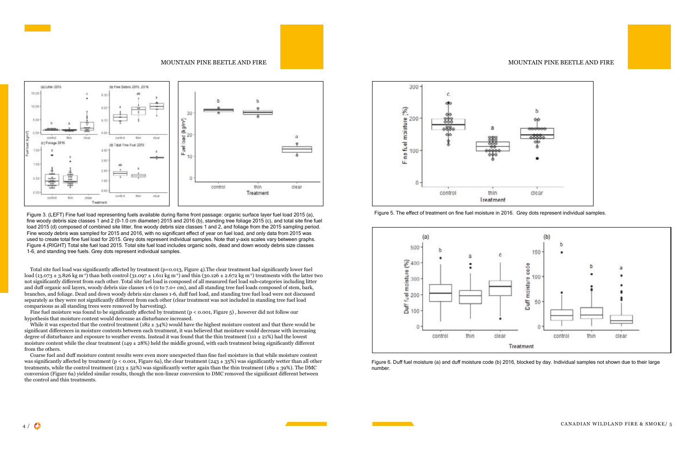



Figure 3. (LEFT) Fine fuel load representing fuels available during flame front passage: organic surface layer fuel load 2015 (a), fine woody debris size classes 1 and 2 (0-1.0 cm diameter) 2015 and 2016 (b), standing tree foliage 2015 (c), and total site fine fuel load 2015 (d) composed of combined site litter, fine woody debris size classes 1 and 2, and foliage from the 2015 sampling period. Fine woody debris was sampled for 2015 and 2016, with no significant effect of year on fuel load, and only data from 2015 was used to create total fine fuel load for 2015. Grey dots represent individual samples. Note that y-axis scales vary between graphs. Figure 4.(RIGHT) Total site fuel load 2015. Total site fuel load includes organic soils, dead and down woody debris size classes 1-6, and standing tree fuels. Grey dots represent individual samples.

Fine fuel moisture was found to be significantly affected by treatment (p < 0.001, Figure 5), however did not follow our hypothesis that moisture content would decrease as disturbance increased.

While it was expected that the control treatment (182  $\pm$  34%) would have the highest moisture content and that there would be significant differences in moisture contents between each treatment, it was believed that moisture would decrease with increasing degree of disturbance and exposure to weather events. Instead it was found that the thin treatment ( $111 \pm 21\%$ ) had the lowest moisture content while the clear treatment (149  $\pm$  28%) held the middle ground, with each treatment being significantly different from the others.

Total site fuel load was significantly affected by treatment (p=0.013, Figure 4).The clear treatment had significantly lower fuel load (13.073  $\pm$  3.826 kg m<sup>-2</sup>) than both control (31.097  $\pm$  1.611 kg m<sup>-2</sup>) and thin (30.126  $\pm$  2.672 kg m<sup>-2</sup>) treatments with the latter two not significantly different from each other. Total site fuel load is composed of all measured fuel load sub-categories including litter and duff organic soil layers, woody debris size classes 1-6 (0 to 7.0+ cm), and all standing tree fuel loads composed of stem, bark, branches, and foliage. Dead and down woody debris size classes 1-6, duff fuel load, and standing tree fuel load were not discussed separately as they were not significantly different from each other (clear treatment was not included in standing tree fuel load comparisons as all standing trees were removed by harvesting).

Coarse fuel and duff moisture content results were even more unexpected than fine fuel moisture in that while moisture content was significantly affected by treatment ( $p < 0.001$ , Figure 6a), the clear treatment (243  $\pm$  35%) was significantly wetter than all other treatments, while the control treatment (213  $\pm$  52%) was significantly wetter again than the thin treatment (189  $\pm$  39%). The DMC conversion (Figure 6a) yielded similar results, though the non-linear conversion to DMC removed the significant different between the control and thin treatments.



Figure 5. The effect of treatment on fine fuel moisture in 2016. Grey dots represent individual samples.



Figure 6. Duff fuel moisture (a) and duff moisture code (b) 2016, blocked by day. Individual samples not shown due to their large number.

### MOUNTAIN PINE BEETLE AND FIRE AND FIRE MOUNTAIN PINE BEETLE AND FIRE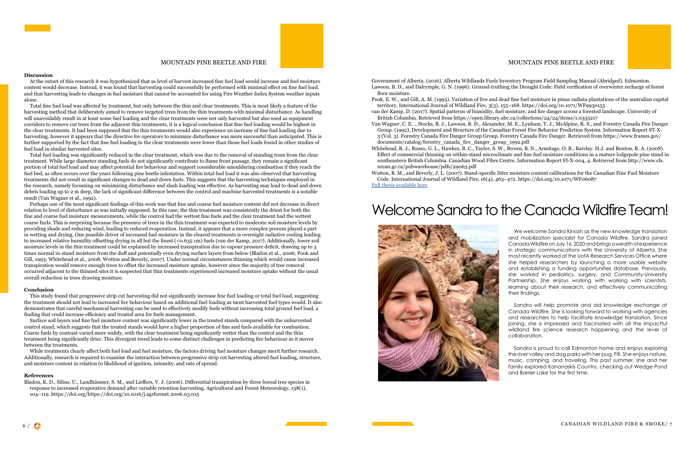#### **Discussion**

At the outset of this research it was hypothesized that as level of harvest increased fine fuel load would increase and fuel moisture content would decrease. Instead, it was found that harvesting could successfully be performed with minimal effect on fine fuel load, and that harvesting leads to changes in fuel moisture that cannot be accounted for using Fire Weather Index System weather inputs alone.

Total fine fuel load was affected by treatment, but only between the thin and clear treatments. This is most likely a feature of the harvesting method that deliberately aimed to remove targeted trees from the thin treatments with minimal disturbance. As handling will unavoidably result in at least some fuel loading and the clear treatments were not only harvested but also used as equipment corridors to remove cut trees from the adjacent thin treatments, it is a logical conclusion that fine fuel loading would be highest in the clear treatments. It had been supposed that the thin treatments would also experience an increase of fine fuel loading due to harvesting, however it appears that the directive for operators to minimize disturbance was more successful than anticipated. This is further supported by the fact that fine fuel loading in the clear treatments were lower than those fuel loads found in other studies of fuel load in similar harvested sites.

Total fuel loading was significantly reduced in the clear treatment, which was due to the removal of standing trees from the clear treatment. While large diameter standing fuels do not significantly contribute to flame front passage, they remain a significant portion of total fuel load and may affect potential fire behaviour and support considerable smouldering combustion if they reach the fuel bed, as often occurs over the years following pine beetle infestation. Within total fuel load it was also observed that harvesting treatments did not result in significant changes to dead and down fuels. This suggests that the harvesting techniques employed in the research, namely focussing on minimizing disturbance and slash loading was effective. As harvesting may lead to dead and down debris loading up to 2 m deep, the lack of significant difference between the control and machine harvested treatments is a notable result (Van Wagner et al., 1992).

Perhaps one of the most significant findings of this work was that fine and coarse fuel moisture content did not decrease in direct relation to level of disturbance as was initially supposed. In this case, the thin treatment was consistently the driest for both the fine and coarse fuel moisture measurements, while the control had the wettest fine fuels and the clear treatment had the wettest coarse fuels. This is surprising because the presence of trees in the thin treatment was expected to moderate soil moisture levels by providing shade and reducing wind, leading to reduced evaporation. Instead, it appears that a more complex process played a part in wetting and drying. One possible driver of increased fuel moisture in the cleared treatments is overnight radiative cooling leading to increased relative humidity offsetting drying in all but the finest (<0.635 cm) fuels (van der Kamp, 2017). Additionally, lower soil moisture levels in the thin treatment could be explained by increased transpiration due to vapour pressure deficit, drawing up to 3 times normal in-stand moisture from the duff and potentially even drying surface layers from below (Bladon et al., 2006; Pook and Gill, 1993; Whitehead et al., 2008; Wotton and Beverly, 2007). Under normal circumstances thinning which would cause increased transpiration would remove enough trees to offset the increased moisture uptake, however since the majority of tree removal occurred adjacent to the thinned sites it is suspected that thin treatments experienced increased moisture uptake without the usual overall reduction in trees drawing moisture.

#### **Conclusion**

This study found that progressive strip cut harvesting did not significantly increase fine fuel loading or total fuel load, suggesting the treatment should not lead to increased fire behaviour based on additional fuel loading as most harvested fuel types would. It also demonstrates that careful mechanical harvesting can be used to effectively modify fuels without increasing total ground fuel load, a finding that could increase efficiency and treated area for fuels management.

Surface soil layers and fine fuel moisture content was significantly lower in the treated stands compared with the unharvested control stand, which suggests that the treated stands would have a higher proportion of fine and fuels available for combustion. Coarse fuels by contrast varied more widely, with the clear treatment being significantly wetter than the control and the thin treatment being significantly drier. This divergent trend leads to some distinct challenges in predicting fire behaviour as it moves between the treatments.

While treatments clearly affect both fuel load and fuel moisture, the factors driving fuel moisture changes merit further research. Additionally, research is required to examine the interaction between progressive strip cut harvesting altered fuel loading, structure, and moisture content in relation to likelihood of ignition, intensity, and rate of spread.

#### **References**

Bladon, K. D., Silins, U., Landhäusser, S. M., and Lieffers, V. J. (2006). Differential transpiration by three boreal tree species in response to increased evaporative demand after variable retention harvesting. Agricultural and Forest Meteorology, 138(1), 104–119. https://doi.org/https://doi.org/10.1016/j.agrformet.2006.03.015

Government of Alberta. (2016). Alberta Wildlands Fuels Inventory Program Field Sampling Manual (Abridged). Edmonton. Lawson, B. D., and Dalrymple, G. N. (1996). Ground-truthing the Drought Code: Field verification of overwinter recharge of forest floor moisture.

Pook, E. W., and Gill, A. M. (1993). Variation of live and dead fine fuel moisture in pinus radiata plantations of the australian capital

van der Kamp, D. (2017). Spatial patterns of humidity, fuel moisture, and fire danger across a forested landscape. University of

Group. (1992). Development and Structure of the Canadian Forest Fire Behavior Prediction System. Information Report ST-X-3 (Vol. 3). Forestry Canada Fire Danger Group Group, Forestry Canada Fire Danger. Retrieved from https://www.frames.gov/

- territory. International Journal of Wildland Fire, 3(3), 155–168. https://doi.org/10.1071/WF9930155
- British Columbia. Retrieved from https://open.library.ubc.ca/collections/24/24/items/1.0355217 Van Wagner, C. E. ., Stocks, B. J., Lawson, B. D., Alexander, M. E., Lynham, T. J., McAlpine, R. S., and Forestry Canada Fire Danger
- documents/catalog/forestry\_canada\_fire\_danger\_group\_1992.pdf
- nrcan.gc.ca/pubwarehouse/pdfs/29063.pdf
- Code. International Journal of Wildland Fire, 16(4), 463–472. https://doi.org/10.1071/WF06087 [Full thesis available here](file:X:\Centres%20and%20Institutes%20%23\Canadian%20Partnership%20for%20Wildland%20Fire%20Science\Canadian%20Wildland%20Fire%20and%20Smoke%20Newsletter\Fall%202021\MPB_Wallace_thesis.pdf)

Whitehead, R. J., Russo, G. L., Hawkes, B. C., Taylor, S. W., Brown, B. N., Armitage, O. B., Barclay. H.J. and Benton, R. A. (2008). Effect of commercial thinning on within-stand microclimate and fine fuel moisture conditions in a mature lodgepole pine stand in southeastern British Columbia. Canadian Wood Fibre Centre. Information Report FI-X-004, 4. Retrieved from http://www.cfs.

Wotton, B. M., and Beverly, J. L. (2007). Stand-specific litter moisture content calibrations for the Canadian Fine Fuel Moisture

### Welcome Sandra to the Canada Wildfire Team!



#### MOUNTAIN PINE BEETLE AND FIRE THE MOUNTAIN PINE BEETLE AND FIRE

We welcome Sandra Kinash as the new knowledge translation and mobilization specialist for Canada Wildfire. Sandra joined Canada Wildfire on July 16, 2020 and brings a wealth of experience in strategic communications with the University of Alberta. She most recently worked at the UofA Research Services Office where she helped researchers by launching a more usable website and establishing a funding opportunities database. Previously, she worked in pediatrics, surgery, and Community-University Partnership. She enjoys working with working with scientists, learning about their research, and effectively communicating their findings.

Sandra will help promote and aid knowledge exchange at Canada Wildfire. She is looking forward to working with agencies and researchers to help facilitate knowledge translation. Since joining, she is impressed and fascinated with all the impactful wildland fire science research happening and the level of collaboration.

Sandra is proud to call Edmonton home and enjoys exploring the river valley and dog parks with her pug, Fifi. She enjoys nature, music, camping, and traveling. This past summer, she and her family explored Kananaskis Country, checking out Wedge Pond and Barrier Lake for the first time.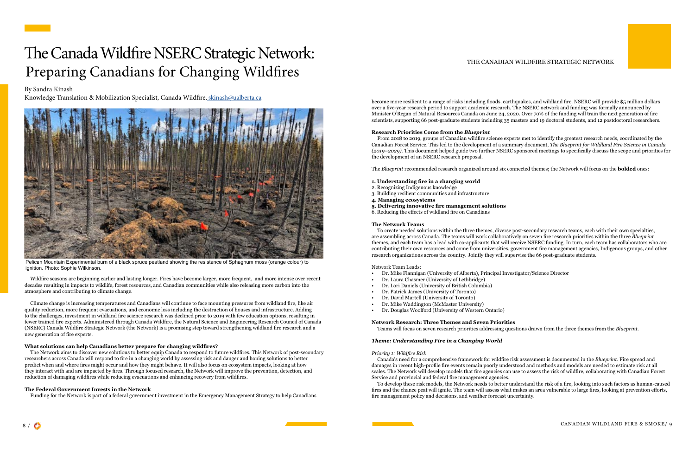Wildfire seasons are beginning earlier and lasting longer. Fires have become larger, more frequent, and more intense over recent decades resulting in impacts to wildlife, forest resources, and Canadian communities while also releasing more carbon into the atmosphere and contributing to climate change.

Climate change is increasing temperatures and Canadians will continue to face mounting pressures from wildland fire, like air quality reduction, more frequent evacuations, and economic loss including the destruction of houses and infrastructure. Adding to the challenges, investment in wildland fire science research was declined prior to 2019 with few education options, resulting in fewer trained fire experts. Administered through Canada Wildfire, the Natural Science and Engineering Research Council of Canada (NSERC) Canada Wildfire Strategic Network (the Network) is a promising step toward strengthening wildland fire research and a new generation of fire experts.

## <span id="page-4-0"></span>The Canada Wildfire NSERC Strategic Network: Preparing Canadians for Changing Wildfires

#### **What solutions can help Canadians better prepare for changing wildfires?**

The Network aims to discover new solutions to better equip Canada to respond to future wildfires. This Network of post-secondary researchers across Canada will respond to fire in a changing world by assessing risk and danger and honing solutions to better predict when and where fires might occur and how they might behave. It will also focus on ecosystem impacts, looking at how they interact with and are impacted by fires. Through focused research, the Network will improve the prevention, detection, and reduction of damaging wildfires while reducing evacuations and enhancing recovery from wildfires.

#### **The Federal Government Invests in the Network**

Funding for the Network is part of a federal government investment in the Emergency Management Strategy to help Canadians

#### THE CANADIAN WILDFIRE STRATEGIC NETWORK

become more resilient to a range of risks including floods, earthquakes, and wildland fire. NSERC will provide \$5 million dollars over a five-year research period to support academic research. The NSERC network and funding was formally announced by Minister O'Regan of Natural Resources Canada on June 24, 2020. Over 70% of the funding will train the next generation of fire scientists, supporting 66 post-graduate students including 35 masters and 19 doctoral students, and 12 postdoctoral researchers.

#### **Research Priorities Come from the** *Blueprint*

From 2018 to 2019, groups of Canadian wildfire science experts met to identify the greatest research needs, coordinated by the Canadian Forest Service. This led to the development of a summary document, *The Blueprint for Wildland Fire Science in Canada (2019–2029)*. This document helped guide two further NSERC sponsored meetings to specifically discuss the scope and priorities for the development of an NSERC research proposal.

The *Blueprint* recommended research organized around six connected themes; the Network will focus on the **bolded** ones:

- **1. Understanding fire in a changing world**
- 2. Recognizing Indigenous knowledge
- 3. Building resilient communities and infrastructure
- **4. Managing ecosystems**
- **5. Delivering innovative fire management solutions**
- 6. Reducing the effects of wildland fire on Canadians

#### **The Network Teams**

To create needed solutions within the three themes, diverse post-secondary research teams, each with their own specialties, are assembling across Canada. The teams will work collaboratively on seven fire research priorities within the three *Blueprint* themes, and each team has a lead with co-applicants that will receive NSERC funding. In turn, each team has collaborators who are contributing their own resources and come from universities, government fire management agencies, Indigenous groups, and other research organizations across the country. Jointly they will supervise the 66 post-graduate students.

#### Network Team Leads:

- Dr. Mike Flannigan (University of Alberta), Principal Investigator/Science Director
- Dr. Laura Chasmer (University of Lethbridge)
- Dr. Lori Daniels (University of British Columbia)
- Dr. Patrick James (University of Toronto)
- Dr. David Martell (University of Toronto)
- Dr. Mike Waddington (McMaster University)
- Dr. Douglas Woolford (University of Western Ontario)

#### **Network Research: Three Themes and Seven Priorities**

Teams will focus on seven research priorities addressing questions drawn from the three themes from the *Blueprint*.

#### *Theme: Understanding Fire in a Changing World*

#### *Priority 1: Wildfire Risk*

Canada's need for a comprehensive framework for wildfire risk assessment is documented in the *Blueprint*. Fire spread and damages in recent high-profile fire events remain poorly understood and methods and models are needed to estimate risk at all scales. The Network will develop models that fire agencies can use to assess the risk of wildfire, collaborating with Canadian Forest Service and provincial and federal fire management agencies.

To develop these risk models, the Network needs to better understand the risk of a fire, looking into such factors as human-caused fires and the chance peat will ignite. The team will assess what makes an area vulnerable to large fires, looking at prevention efforts, fire management policy and decisions, and weather forecast uncertainty.

#### By Sandra Kinash

Knowledge Translation & Mobilization Specialist, Canada Wildfire, [skinash@ualberta.ca](mailto:skinash%40ualberta.ca?subject=Canadian%20Wildland%20Fire%20and%20Smoke%20Newsletter%20reply)



Pelican Mountain Experimental burn of a black spruce peatland showing the resistance of Sphagnum moss (orange colour) to ignition. Photo: Sophie Wilkinson.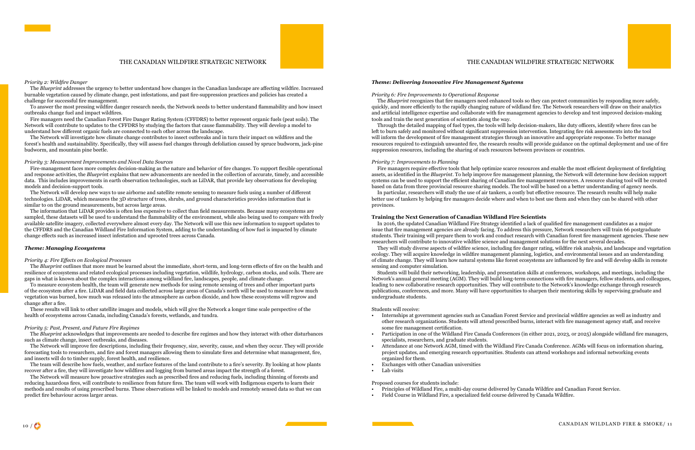#### THE CANADIAN WILDFIRE STRATEGIC NETWORK

#### *Priority 2: Wildfire Danger*

The *Blueprint* addresses the urgency to better understand how changes in the Canadian landscape are affecting wildfire. Increased burnable vegetation caused by climate change, pest infestations, and past fire-suppression practices and policies has created a challenge for successful fire management.

To answer the most pressing wildfire danger research needs, the Network needs to better understand flammability and how insect outbreaks change fuel and impact wildfires.

Fire managers need the Canadian Forest Fire Danger Rating System (CFFDRS) to better represent organic fuels (peat soils). The Network will contribute to updates to the CFFDRS by studying the factors that cause flammability. They will develop a model to understand how different organic fuels are connected to each other across the landscape.

The Network will develop new ways to use airborne and satellite remote sensing to measure fuels using a number of different technologies. LiDAR, which measures the 3D structure of trees, shrubs, and ground characteristics provides information that is similar to on the ground measurements, but across large areas.

The Network will investigate how climate change contributes to insect outbreaks and in turn their impact on wildfires and the forest's health and sustainability. Specifically, they will assess fuel changes through defoliation caused by spruce budworm, jack-pine budworm, and mountain pine beetle.

#### *Priority 3: Measurement Improvements and Novel Data Sources*

Fire-management faces more complex decision-making as the nature and behavior of fire changes. To support flexible operational and response activities, the *Blueprin*t explains that new advancements are needed in the collection of accurate, timely, and accessible data. This includes improvements in earth observation technologies, such as LiDAR, that provide key observations for developing models and decision-support tools.

The information that LiDAR provides is often less expensive to collect than field measurements. Because many ecosystems are sampled, these datasets will be used to understand the flammability of the environment, while also being used to compare with freely available satellite imagery, collected everywhere almost every day. The Network will use this new information to support updates to the CFFDRS and the Canadian Wildland Fire Information System, adding to the understanding of how fuel is impacted by climate change effects such as increased insect infestation and uprooted trees across Canada.

#### *Theme: Managing Ecosystems*

#### *Priority 4: Fire Effects on Ecological Processes*

The *Blueprint* outlines that more must be learned about the immediate, short-term, and long-term effects of fire on the health and resilience of ecosystems and related ecological processes including vegetation, wildlife, hydrology, carbon stocks, and soils. There are gaps in what is known about the complex interactions among wildland fire, landscapes, people, and climate change.

To measure ecosystem health, the team will generate new methods for using remote sensing of trees and other important parts of the ecosystem after a fire. LiDAR and field data collected across large areas of Canada's north will be used to measure how much vegetation was burned, how much was released into the atmosphere as carbon dioxide, and how these ecosystems will regrow and change after a fire.

These results will link to other satellite images and models, which will give the Network a longer time scale perspective of the health of ecosystems across Canada, including Canada's forests, wetlands, and tundra.

#### *Priority 5: Past, Present, and Future Fire Regimes*

The *Blueprint* acknowledges that improvements are needed to describe fire regimes and how they interact with other disturbances such as climate change, insect outbreaks, and diseases.

The Network will improve fire descriptions, including their frequency, size, severity, cause, and when they occur. They will provide forecasting tools to researchers, and fire and forest managers allowing them to simulate fires and determine what management, fire, and insects will do to timber supply, forest health, and resilience.

The team will describe how fuels, weather, and surface features of the land contribute to a fire's severity. By looking at how plants recover after a fire, they will investigate how wildfires and logging from burned areas impact the strength of a forest.

- some fire management certification.
- specialists, researchers, and graduate students.
- organized for them.
- Exchanges with other Canadian universities
- Lab visits

The Network will measure how proactive strategies such as prescribed fires and reducing fuels, including thinning of forests and reducing hazardous fires, will contribute to resilience from future fires. The team will work with Indigenous experts to learn their methods and results of using prescribed burns. These observations will be linked to models and remotely sensed data so that we can predict fire behaviour across larger areas.

#### THE CANADIAN WILDFIRE STRATEGIC NETWORK

#### *Theme: Delivering Innovative Fire Management Systems*

#### *Priority 6: Fire Improvements to Operational Response*

The *Blueprint* recognizes that fire managers need enhanced tools so they can protect communities by responding more safely, quickly, and more efficiently to the rapidly changing nature of wildland fire. The Network researchers will draw on their analytics and artificial intelligence expertise and collaborate with fire management agencies to develop and test improved decision-making tools and train the next generation of scientists along the way.

Through the detailed mapping of fuel types, the tools will help decision-makers, like duty officers, identify where fires can be left to burn safely and monitored without significant suppression intervention. Integrating fire risk assessments into the tool will inform the development of fire management strategies through an innovative and appropriate response. To better manage resources required to extinguish unwanted fire, the research results will provide guidance on the optimal deployment and use of fire suppression resources, including the sharing of such resources between provinces or countries.

#### *Priority 7: Improvements to Planning*

Fire managers require effective tools that help optimize scarce resources and enable the most efficient deployment of firefighting assets, as identified in the *Blueprint*. To help improve fire management planning, the Network will determine how decision support systems can be used to support the efficient sharing of Canadian fire management resources. A resource sharing tool will be created based on data from three provincial resource sharing models. The tool will be based on a better understanding of agency needs. In particular, researchers will study the use of air tankers, a costly but effective resource. The research results will help make better use of tankers by helping fire managers decide where and when to best use them and when they can be shared with other

provinces.

#### **Training the Next Generation of Canadian Wildland Fire Scientists**

In 2016, the updated Canadian Wildland Fire Strategy identified a lack of qualified fire management candidates as a major issue that fire management agencies are already facing. To address this pressure, Network researchers will train 66 postgraduate students. Their training will prepare them to work and conduct research with Canadian forest fire management agencies. These new researchers will contribute to innovative wildfire science and management solutions for the next several decades. They will study diverse aspects of wildfire science, including fire danger rating, wildfire risk analysis, and landscape and vegetation ecology. They will acquire knowledge in wildfire management planning, logistics, and environmental issues and an understanding

of climate change. They will learn how natural systems like forest ecosystems are influenced by fire and will develop skills in remote sensing and computer simulation.

Students will build their networking, leadership, and presentation skills at conferences, workshops, and meetings, including the Network's annual general meeting (AGM). They will build long-term connections with fire managers, fellow students, and colleagues, leading to new collaborative research opportunities. They will contribute to the Network's knowledge exchange through research publications, conferences, and more. Many will have opportunities to sharpen their mentoring skills by supervising graduate and undergraduate students.

#### Students will receive:

• Internships at government agencies such as Canadian Forest Service and provincial wildfire agencies as well as industry and other research organizations. Students will attend prescribed burns, interact with fire management agency staff, and receive

• Participation in one of the Wildland Fire Canada Conferences (in either 2021, 2023, or 2025) alongside wildland fire managers,

• Attendance at one Network AGM, timed with the Wildland Fire Canada Conference. AGMs will focus on information sharing, project updates, and emerging research opportunities. Students can attend workshops and informal networking events

#### Proposed courses for students include:

- Principles of Wildland Fire, a multi-day course delivered by Canada Wildfire and Canadian Forest Service.
- Field Course in Wildland Fire, a specialized field course delivered by Canada Wildfire.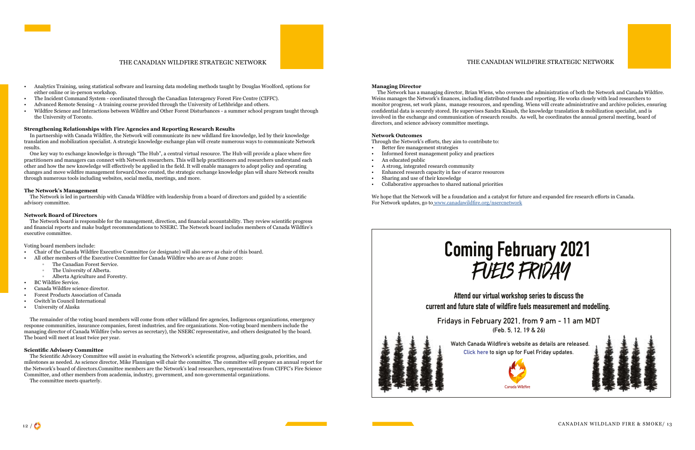#### THE CANADIAN WILDFIRE STRATEGIC NETWORK

- Analytics Training, using statistical software and learning data modeling methods taught by Douglas Woolford, options for either online or in-person workshop.
- The Incident Command System coordinated through the Canadian Interagency Forest Fire Centre (CIFFC).
- Advanced Remote Sensing A training course provided through the University of Lethbridge and others.
- Wildfire Science and Interactions between Wildfire and Other Forest Disturbances a summer school program taught through the University of Toronto.

#### **Strengthening Relationships with Fire Agencies and Reporting Research Results**

In partnership with Canada Wildfire, the Network will communicate its new wildland fire knowledge, led by their knowledge translation and mobilization specialist. A strategic knowledge exchange plan will create numerous ways to communicate Network results.

One key way to exchange knowledge is through "The Hub", a central virtual resource. The Hub will provide a place where fire practitioners and managers can connect with Network researchers. This will help practitioners and researchers understand each other and how the new knowledge will effectively be applied in the field. It will enable managers to adopt policy and operating changes and move wildfire management forward.Once created, the strategic exchange knowledge plan will share Network results through numerous tools including websites, social media, meetings, and more.

#### **The Network's Management**

The Network is led in partnership with Canada Wildfire with leadership from a board of directors and guided by a scientific advisory committee.

#### **Network Board of Directors**

The Network board is responsible for the management, direction, and financial accountability. They review scientific progress and financial reports and make budget recommendations to NSERC. The Network board includes members of Canada Wildfire's executive committee.

Voting board members include:

- Chair of the Canada Wildfire Executive Committee (or designate) will also serve as chair of this board.
- All other members of the Executive Committee for Canada Wildfire who are as of June 2020:
	- The Canadian Forest Service.
	- The University of Alberta.
	- Alberta Agriculture and Forestry.
- BC Wildfire Service.
- Canada Wildfire science director.
- Forest Products Association of Canada
- Gwitch'in Council International
- University of Alaska
- Better fire management strategies
- Informed forest management policy and practices
- An educated public
- A strong, integrated research community
- Enhanced research capacity in face of scarce resources
- Sharing and use of their knowledge
- Collaborative approaches to shared national priorities

# FUELS FRIDAY **[Coming February 2021](https://docs.google.com/forms/d/e/1FAIpQLSfHZxIpdvU1CjMa-XjAPpn8jITcTte32osSfZnyoF2MciUPSQ/viewform?usp=sf_link)**

The remainder of the voting board members will come from other wildland fire agencies, Indigenous organizations, emergency response communities, insurance companies, forest industries, and fire organizations. Non-voting board members include the managing director of Canada Wildfire (who serves as secretary), the NSERC representative, and others designated by the board. The board will meet at least twice per year.

#### **Scientific Advisory Committee**

The Scientific Advisory Committee will assist in evaluating the Network's scientific progress, adjusting goals, priorities, and milestones as needed. As science director, Mike Flannigan will chair the committee. The committee will prepare an annual report for the Network's board of directors.Committee members are the Network's lead researchers, representatives from CIFFC's Fire Science Committee, and other members from academia, industry, government, and non-governmental organizations.

The committee meets quarterly.

#### **Managing Director**

The Network has a managing director, Brian Wiens, who oversees the administration of both the Network and Canada Wildfire. Weins manages the Network's finances, including distributed funds and reporting. He works closely with lead researchers to monitor progress, set work plans, manage resources, and spending. Wiens will create administrative and archive policies, ensuring confidential data is securely stored. He supervises Sandra Kinash, the knowledge translation & mobilization specialist, and is involved in the exchange and communication of research results. As well, he coordinates the annual general meeting, board of directors, and science advisory committee meetings.

#### **Network Outcomes**

Through the Network's efforts, they aim to contribute to:

We hope that the Network will be a foundation and a catalyst for future and expanded fire research efforts in Canada. For Network updates, go to [www.canadawildfire.org/nsercnetwork](https://www.canadawildfire.org/nsercnetwork)

### THE CANADIAN WILDFIRE STRATEGIC NETWORK

 **Attend our virtual workshop series to discuss the current and future state of wildfire fuels measurement and modelling.**

**Fridays in February 2021, from 9 am - 11 am MDT (Feb. 5, 12, 19 & 26)**

**Watch Canada Wildfire's website as details are released. Click here to sign up for Fuel Friday updates.**



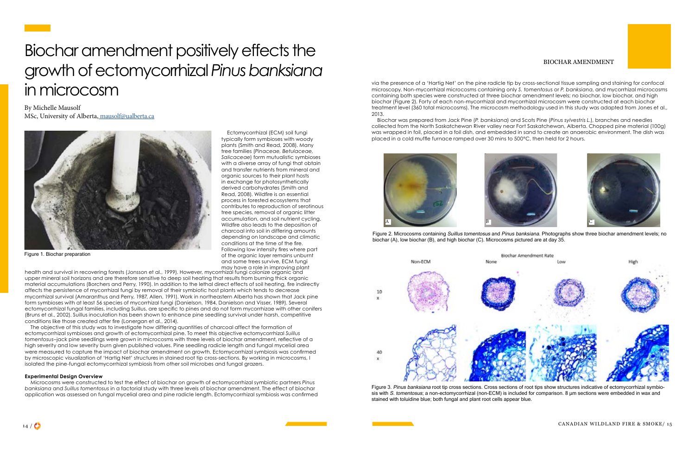## <span id="page-7-0"></span>Biochar amendment positively effects the growth of ectomycorrhizal *Pinus banksiana* in microcosm

Ectomycorrhizal (ECM) soil fungi typically form symbioses with woody plants (Smith and Read, 2008). Many tree families (*Pinaceae, Betulaceae, Salicaceae*) form mutualistic symbioses with a diverse array of fungi that obtain and transfer nutrients from mineral and organic sources to their plant hosts in exchange for photosynthetically derived carbohydrates (Smith and Read, 2008). Wildfire is an essential process in forested ecosystems that contributes to reproduction of serotinous tree species, removal of organic litter accumulation, and soil nutrient cycling. Wildfire also leads to the deposition of charcoal into soil in differing amounts depending on landscape and climatic conditions at the time of the fire. Following low intensity fires where part of the organic layer remains unburnt and some trees survive, ECM fungi

By Michelle Mausolf MSc, University of Alberta, [mausolf@ualberta.ca](mailto:mausolf%40ualberta.ca?subject=Response%3A%20Canadian%20Wildland%20Fire%20and%20Smoke%20Newsletter)

may have a role in improving plant health and survival in recovering forests (Jonsson et al., 1999). However, mycorrhizal fungi colonize organic and upper mineral soil horizons and are therefore sensitive to deep soil heating that results from burning thick organic material accumulations (Borchers and Perry, 1990). In addition to the lethal direct effects of soil heating, fire indirectly affects the persistence of mycorrhizal fungi by removal of their symbiotic host plants which tends to decrease mycorrhizal survival (Amaranthus and Perry, 1987, Allen, 1991). Work in northeastern Alberta has shown that Jack pine form symbioses with at least 56 species of mycorrhizal fungi (Danielson, 1984, Danielson and Visser, 1989). Several ectomycorrhizal fungal families, including Suillus, are specific to pines and do not form mycorrhizae with other conifers (Bruns et al., 2002). Suillus inoculation has been shown to enhance pine seedling survival under harsh, competitive conditions like those created after fire (Lonergan et al., 2014).

The objective of this study was to investigate how differing quantities of charcoal affect the formation of ectomycorrhizal symbioses and growth of ectomycorrhizal pine. To meet this objective ectomycorrhizal *Suillus tomentosus*–jack pine seedlings were grown in microcosms with three levels of biochar amendment, reflective of a high severity and low severity burn given published values. Pine seedling radicle length and fungal mycelial area were measured to capture the impact of biochar amendment on growth. Ectomycorrhizal symbiosis was confirmed by microscopic visualization of 'Hartig Net' structures in stained root tip cross-sections. By working in microcosms, I isolated the pine-fungal ectomycorrhizal symbiosis from other soil microbes and fungal grazers.

#### **Experimental Design Overview**

Microcosms were constructed to test the effect of biochar on growth of ectomycorrhizal symbiotic partners *Pinus banksiana* and *Suillus tomentosus* in a factorial study with three levels of biochar amendment. The effect of biochar application was assessed on fungal mycelial area and pine radicle length. Ectomycorrhizal symbiosis was confirmed



Figure 1. Biochar preparation

via the presence of a 'Hartig Net' on the pine radicle tip by cross-sectional tissue sampling and staining for confocal microscopy. Non-mycorrhizal microcosms containing only *S. tomentosus* or *P. banksiana*, and mycorrhizal microcosms containing both species were constructed at three biochar amendment levels; no biochar, low biochar, and high biochar (Figure 2). Forty of each non-mycorrhizal and mycorrhizal microcosm were constructed at each biochar treatment level (360 total microcosms). The microcosm methodology used in this study was adapted from Jones et al., 2013.

Biochar was prepared from Jack Pine (*P. banksiana*) and Scots Pine (*Pinus sylvestris L.*), branches and needles collected from the North Saskatchewan River valley near Fort Saskatchewan, Alberta. Chopped pine material (100g) was wrapped in foil, placed in a foil dish, and embedded in sand to create an anaerobic environment. The dish was placed in a cold muffle furnace ramped over 30 mins to 500ºC, then held for 2 hours.



### BIOCHAR AMENDMENT



Figure 3. Pinus banksiana root tip cross sections. Cross sections of root tips show structures indicative of ectomycorrhizal symbiosis with S. tomentosus; a non-ectomycorrhizal (non-ECM) is included for comparison. 8 µm sections were embedded in wax and



Figure 2. Microcosms containing Suillus tomentosus and Pinus banksiana. Photographs show three biochar amendment levels; no biochar (A), low biochar (B), and high biochar (C). Microcosms pictured are at day 35.



stained with toluidine blue; both fungal and plant root cells appear blue.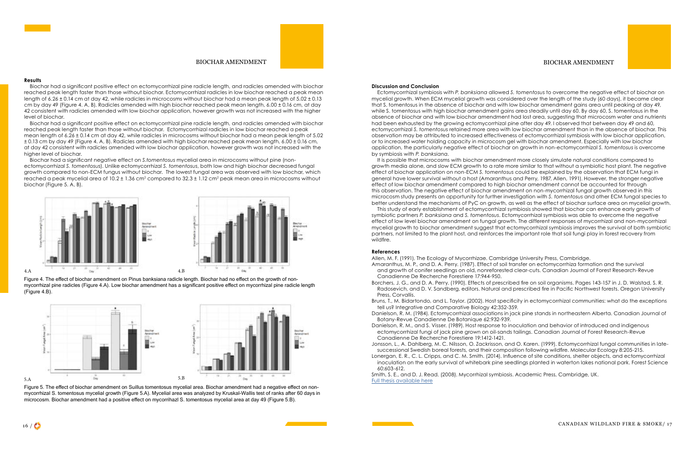

Biochar had a significant positive effect on ectomycorrhizal pine radicle length, and radicles amended with biochar reached peak length faster than those without biochar. Ectomycorrhizal radicles in low biochar reached a peak mean length of 6.26  $\pm$  0.14 cm at day 42, while radicles in microcosms without biochar had a mean peak length of 5.02  $\pm$  0.13 cm by day 49 (Figure 4. A, B). Radicles amended with high biochar reached peak mean length, 6.00 ± 0.16 cm, at day 42 consistent with radicles amended with low biochar application, however growth was not increased with the higher level of biochar.

Biochar had a significant positive effect on ectomycorrhizal pine radicle length, and radicles amended with biochar reached peak length faster than those without biochar. Ectomycorrhizal radicles in low biochar reached a peak mean length of 6.26 ± 0.14 cm at day 42, while radicles in microcosms without biochar had a mean peak length of 5.02 ± 0.13 cm by day 49 (Figure 4. A, B). Radicles amended with high biochar reached peak mean length, 6.00 ± 0.16 cm, at day 42 consistent with radicles amended with low biochar application, however growth was not increased with the higher level of biochar.

Biochar had a significant negative effect on *S.tomentosus* mycelial area in microcosms without pine (nonectomycorrhizal *S. tomentosus*). Unlike ectomycorrhizal *S. tomentosus*, both low and high biochar decreased fungal growth compared to non-ECM fungus without biochar. The lowest fungal area was observed with low biochar, which reached a peak mycelial area of 10.2  $\pm$  1.36 cm $^2$  compared to 32.3  $\pm$  1.12 cm $^2$  peak mean area in microcosms without biochar (Figure 5. A, B).

#### BIOCHAR AMENDMENT











#### BIOCHAR AMENDMENT

#### **Discussion and Conclusion**

Ectomycorrhizal symbiosis with *P. banksiana* allowed *S. tomentosus* to overcome the negative effect of biochar on mycelial growth. When ECM mycelial growth was considered over the length of the study (60 days), it became clear that S. tomentosus in the absence of biochar and with low biochar amendment gains area until peaking at day 49, while S, tomentosus with high biochar amendment gains area steadily until day 60. By day 60, S, tomentosus in the absence of biochar and with low biochar amendment had lost area, suggesting that microcosm water and nutrients had been exhausted by the growing ectomycorrhizal pine after day 49. I observed that between day 49 and 60, ectomycorrhizal *S. tomentosus* retained more area with low biochar amendment than in the absence of biochar. This observation may be attributed to increased effectiveness of ectomycorrhizal symbiosis with low biochar application, or to increased water holding capacity in microcosm gel with biochar amendment. Especially with low biochar application, the particularly negative effect of biochar on growth in non-ectomycorrhizal *S. tomentosus* is overcome by symbiosis with *P. banksiana*.

It is possible that microcosms with biochar amendment more closely simulate natural conditions compared to growth media alone, and slow ECM growth to a rate more similar to that without a symbiotic host plant. The negative effect of biochar application on non-ECM *S. tomentosus* could be explained by the observation that ECM fungi in general have lower survival without a host (Amaranthus and Perry, 1987, Allen, 1991). However, the stronger negative effect of low biochar amendment compared to high biochar amendment cannot be accounted for through this observation. The negative effect of biochar amendment on non-mycorrhizal fungal growth observed in this microcosm study presents an opportunity for further investigation with *S. tomentosus* and other ECM fungal species to better understand the mechanisms of PyC on growth, as well as the effect of biochar surface area on mycelial growth. This study of early establishment of ectomycorrhizal symbiosis showed that biochar can enhance early growth of symbiotic partners *P. banksiana* and *S. tomentosus*. Ectomycorrhizal symbiosis was able to overcome the negative effect of low level biochar amendment on fungal growth. The different responses of mycorrhizal and non-mycorrhizal mycelial growth to biochar amendment suggest that ectomycorrhizal symbiosis improves the survival of both symbiotic partners, not limited to the plant host, and reinforces the important role that soil fungi play in forest recovery from

wildfire.

#### **References**

Borchers, J. G., and D. A. Perry. (1990). Effects of prescribed fire on soil organisms. Pages 143-157 in J. D. Walstad, S. R. Radosevich, and D. V. Sandberg, editors. Natural and prescribed fire in Pacific Northwest forests. Oregon University

Bruns, T., M. Bidartondo, and L. Taylor. (2002). Host specificity in ectomycorrhizal communities: what do the exceptions

Danielson, R. M. (1984). Ectomycorrhizal associations in jack pine stands in northeastern Alberta. Canadian Journal of

- Allen, M. F. (1991). The Ecology of Mycorrhizae. Cambridge University Press, Cambridge. Amaranthus, M. P., and D. A. Perry. (1987). Effect of soil transfer on ectomycorrhiza formation and the survival and growth of conifer seedlings on old, nonreforested clear-cuts. Canadian Journal of Forest Research-Revue Canadienne De Recherche Forestiere 17:944-950.
- Press, Corvallis.
- tell us? Integrative and Comparative Biology 42:352-359.
- Botany-Revue Canadienne De Botanique 62:932-939.
- Canadienne De Recherche Forestiere 19:1412-1421.
- successional Swedish boreal forests, and their composition following wildfire. Molecular Ecology 8:205-215.
- 60:603-612.

Danielson, R. M., and S. Visser. (1989). Host response to inoculation and behavior of introduced and indigenous ectomycorrhizal fungi of jack pine grown on oil-sands tailings. Canadian Journal of Forest Research-Revue

Jonsson, L., A. Dahlberg, M. C. Nilsson, O. Zackrisson, and O. Karen. (1999). Ectomycorrhizal fungal communities in late-Lonergan, E. R., C. L. Cripps, and C. M. Smith. (2014). Influence of site conditions, shelter objects, and ectomycorrhizal inoculation on the early survival of whitebark pine seedlings planted in waterton lakes national park. Forest Science

Smith, S. E., and D. J. Read. (2008). Mycorrhizal symbiosis. Academic Press, Cambridge, UK. [Full thesis available here](file:X:\Centres%20and%20Institutes%20%23\Canadian%20Partnership%20for%20Wildland%20Fire%20Science\Canadian%20Wildland%20Fire%20and%20Smoke%20Newsletter\Fall%202021\Mausolf_thesis.pdf)